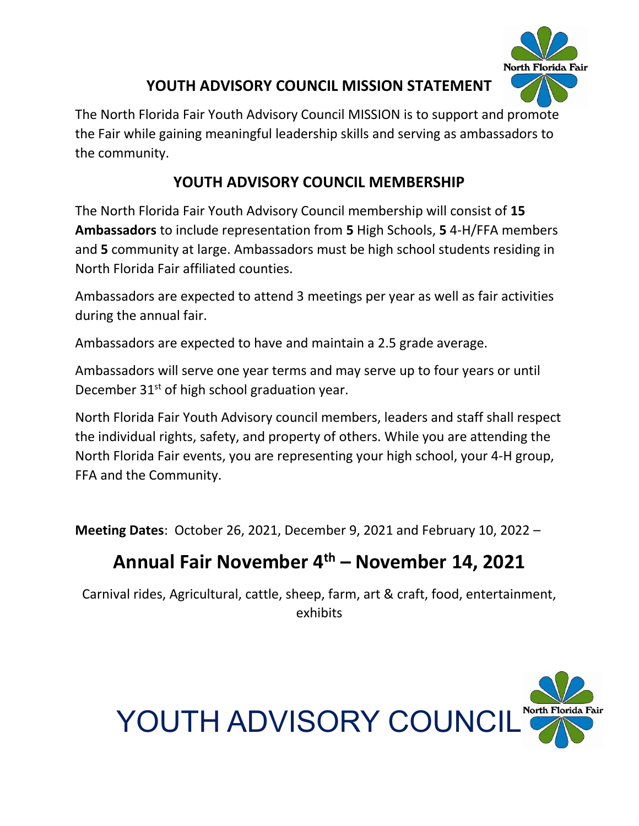

## **YOUTH ADVISORY COUNCIL MISSION STATEMENT**

The North Florida Fair Youth Advisory Council MISSION is to support and promote the Fair while gaining meaningful leadership skills and serving as ambassadors to the community.

## **YOUTH ADVISORY COUNCIL MEMBERSHIP**

The North Florida Fair Youth Advisory Council membership will consist of **15 Ambassadors** to include representation from **5** High Schools, **5** 4-H/FFA members and **5** community at large. Ambassadors must be high school students residing in North Florida Fair affiliated counties.

Ambassadors are expected to attend 3 meetings per year as well as fair activities during the annual fair.

Ambassadors are expected to have and maintain a 2.5 grade average.

Ambassadors will serve one year terms and may serve up to four years or until December  $31<sup>st</sup>$  of high school graduation year.

North Florida Fair Youth Advisory council members, leaders and staff shall respect the individual rights, safety, and property of others. While you are attending the North Florida Fair events, you are representing your high school, your 4-H group, FFA and the Community.

**Meeting Dates**: October 26, 2021, December 9, 2021 and February 10, 2022 –

# **Annual Fair November 4th – November 14, 2021**

Carnival rides, Agricultural, cattle, sheep, farm, art & craft, food, entertainment, exhibits

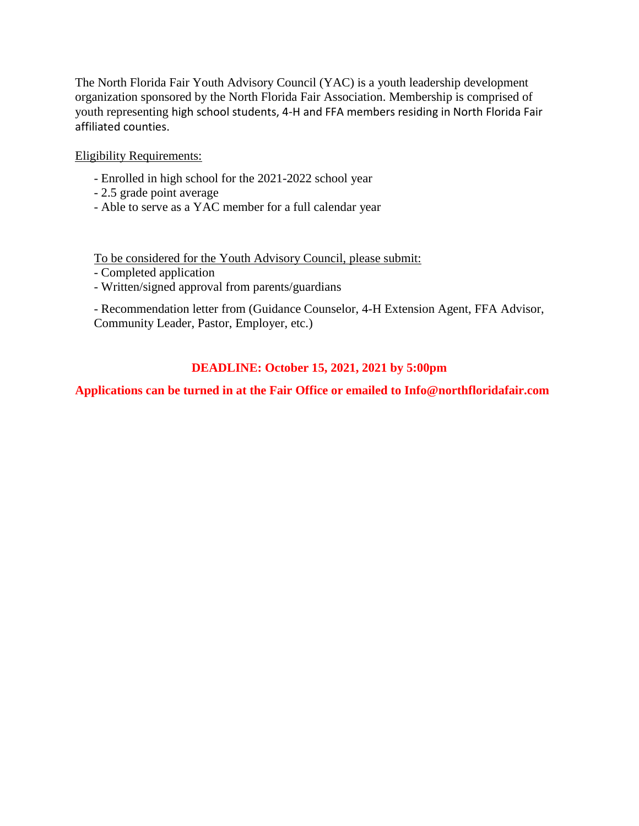The North Florida Fair Youth Advisory Council (YAC) is a youth leadership development organization sponsored by the North Florida Fair Association. Membership is comprised of youth representing high school students, 4-H and FFA members residing in North Florida Fair affiliated counties.

Eligibility Requirements:

- Enrolled in high school for the 2021-2022 school year
- 2.5 grade point average
- Able to serve as a YAC member for a full calendar year

To be considered for the Youth Advisory Council, please submit:

- Completed application
- Written/signed approval from parents/guardians

- Recommendation letter from (Guidance Counselor, 4-H Extension Agent, FFA Advisor, Community Leader, Pastor, Employer, etc.)

#### **DEADLINE: October 15, 2021, 2021 by 5:00pm**

#### **Applications can be turned in at the Fair Office or emailed to Info@northfloridafair.com**